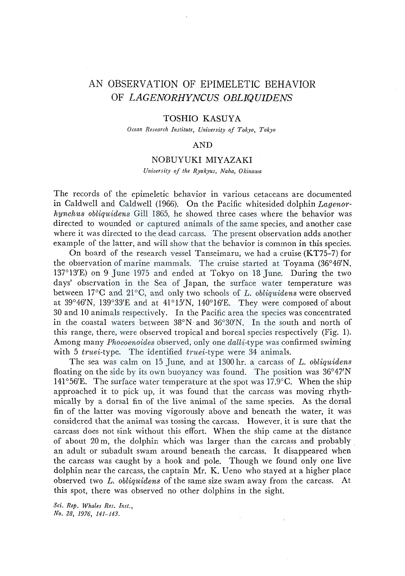# AN OBSERVATION OF EPIMELETIC BEHA VIOR OF *LAGENORHYNCUS OBLIQUIDENS*

### TOSHIO KASUYA

*Ocean Research Institute, University of Tokyo, Tokyo* 

## AND

### NOBUYUKI MIYAZAKI

*University of the Ryukyus, Naha, Okinawa* 

The records of the epimeletic behavior in various cetaceans are documented in Caldwell and Caldwell (1966). On the Pacific whitesided dolphin *Lagenorhynchiis obliquidens* Gill 1865, he showed three cases where the behavior was directed to wounded or captured animals of the same species, and another case where it was directed to the dead carcass. The present observation adds another example of the latter, and will show that the behavior is common in this species.

On board of the research vessel Tanseimaru, we had a cruise (KT75-7) for the observation of marine mammals. The cruise started at Toyama (36°46'N, 137°13'E) on 9 June 1975 and ended at Tokyo on 18 June. During the two days' observation in the Sea of Japan, the surface water temperature was between l 7°C and 21°C, and only two schools of *L. obliquidens* were observed at 39°46'N, 139°33'E and at 41°15'N, 140°16'E. They were composed of about 30 and 10 animals respectively. In the Pacific area the species was concentrated in the coastal waters between 38°N and 36°30'N. In the south and north of this range, there, were observed tropical and boreal species respectively (Fig. 1). Among many *Phocoenoides* observed, only one *dalli-type* was confirmed swiming with 5 *truei-type.* The identified *truei-type* were 34 animals.

The sea was calm on 15 June, and at 1300 hr. a carcass of *L. obliquidens*  floating on the side by its own buoyancy was found. The position was 36°47'N 141°56'E. The surface water temperature at the spot was 17.9 $\degree$ C. When the ship approached it to pick up, it was found that the carcass was moving rhythmically by a dorsal fin of the live animal of the same species. As the dorsal fin of the latter was moving vigorously above and beneath the water, it was considered that the animal was tossing the carcass. However, it is sure that the carcass does not sink without this effort. When the ship came at the distance of about 20 m, the dolphin which was larger than the carcass and probably . an adult or subadult swam around beneath the carcass. It disappeared when the carcass was caught by a hook and pole. Though we found only one live dolphin near the carcass, the captain Mr. K. Ueno who stayed at a higher place observed two *L. obliquidens* of the same size swam away from the carcass. At this spot, there was observed no other dolphins in the sight.

*Sci. Rep. Whales Res. Inst., No. 28, 1976, 141-143.*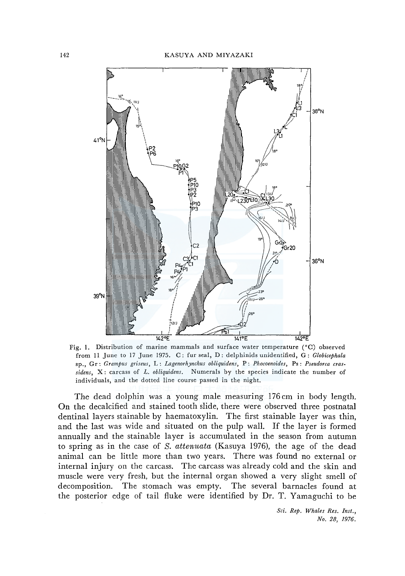

Fig. I. Distribution of marine mammals and surface water temperature (°C) observed from 11 June to 17 June 1975. C: fur seal, D: delphinids unidentified, G: *Globicephala*  sp., Gr: *Grampus griseus,* L: *Lagenorhynchus obliquidens,* P: *Phocoenoides,* Ps : *Pseudorca crassidens,* X: carcass of *L. obliquidens.* Numerals by the species indicate the number of individuals, and the dotted line course passed in the night.

The dead dolphin was a young male measuring 176 cm in body length. On the decalcified and stained tooth slide, there were observed three postnatal dentinal layers stainable by haematoxylin. The first stainable layer was thin, and the last was wide and situated on the pulp wall. If the layer is formed annually and the stainable layer is accumulated in the season from autumn to spring as in the case of *S.* attenuata (Kasuya 1976), the age of the dead animal can be little more than two years. There was found no external or internal injury on the carcass. The carcass was already cold and the skin and muscle were very fresh, but the internal organ showed a very slight smell of decomposition. The stomach was empty. The several barnacles found at the posterior edge of tail fluke were identified by Dr. T. Yamaguchi to be

> *Sci. Rep. Whales Res. Inst., No. 28, 1976.*